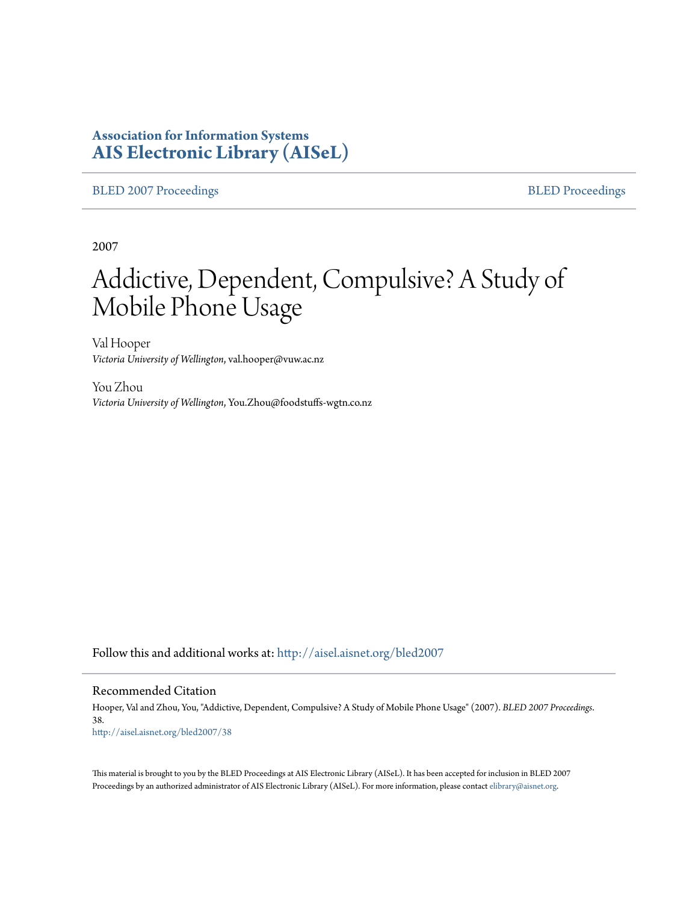### **Association for Information Systems [AIS Electronic Library \(AISeL\)](http://aisel.aisnet.org?utm_source=aisel.aisnet.org%2Fbled2007%2F38&utm_medium=PDF&utm_campaign=PDFCoverPages)**

[BLED 2007 Proceedings](http://aisel.aisnet.org/bled2007?utm_source=aisel.aisnet.org%2Fbled2007%2F38&utm_medium=PDF&utm_campaign=PDFCoverPages) **[BLED Proceedings](http://aisel.aisnet.org/bled?utm_source=aisel.aisnet.org%2Fbled2007%2F38&utm_medium=PDF&utm_campaign=PDFCoverPages)** 

2007

# Addictive, Dependent, Compulsive? A Study of Mobile Phone Usage

Val Hooper *Victoria University of Wellington*, val.hooper@vuw.ac.nz

You Zhou *Victoria University of Wellington*, You.Zhou@foodstuffs-wgtn.co.nz

Follow this and additional works at: [http://aisel.aisnet.org/bled2007](http://aisel.aisnet.org/bled2007?utm_source=aisel.aisnet.org%2Fbled2007%2F38&utm_medium=PDF&utm_campaign=PDFCoverPages)

#### Recommended Citation

Hooper, Val and Zhou, You, "Addictive, Dependent, Compulsive? A Study of Mobile Phone Usage" (2007). *BLED 2007 Proceedings*. 38. [http://aisel.aisnet.org/bled2007/38](http://aisel.aisnet.org/bled2007/38?utm_source=aisel.aisnet.org%2Fbled2007%2F38&utm_medium=PDF&utm_campaign=PDFCoverPages)

This material is brought to you by the BLED Proceedings at AIS Electronic Library (AISeL). It has been accepted for inclusion in BLED 2007 Proceedings by an authorized administrator of AIS Electronic Library (AISeL). For more information, please contact [elibrary@aisnet.org](mailto:elibrary@aisnet.org%3E).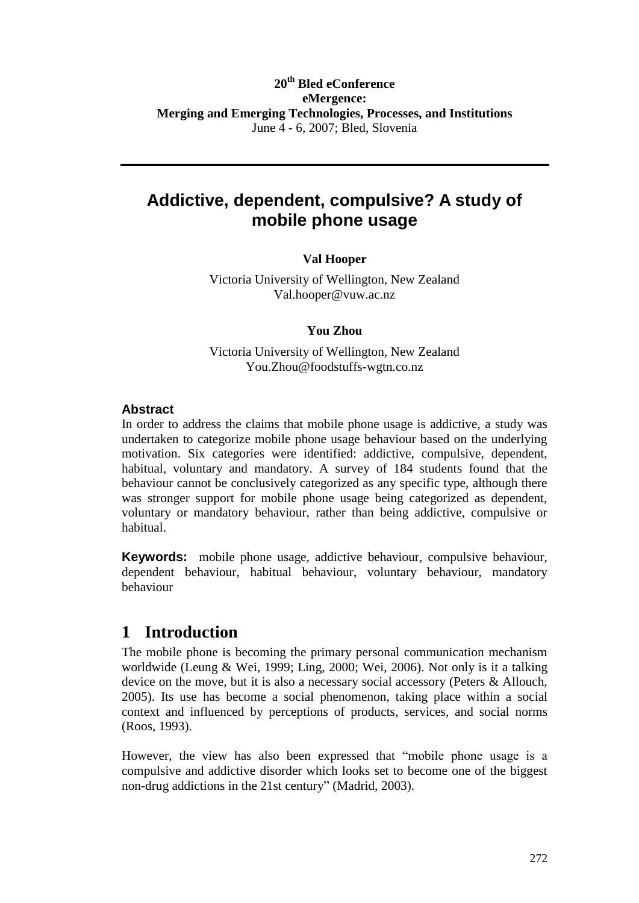#### **20th Bled eConference eMergence: Merging and Emerging Technologies, Processes, and Institutions** June 4 - 6, 2007; Bled, Slovenia

### **Addictive, dependent, compulsive? A study of mobile phone usage**

#### **Val Hooper**

Victoria University of Wellington, New Zealand [Val.hooper@vuw.ac.nz](mailto:Val.hooper@vuw.ac.nz)

#### **You Zhou**

Victoria University of Wellington, New Zealand [You.Zhou@foodstuffs-wgtn.co.nz](mailto:You.Zhou@foodstuffs-wgtn.co.nz)

#### **Abstract**

In order to address the claims that mobile phone usage is addictive, a study was undertaken to categorize mobile phone usage behaviour based on the underlying motivation. Six categories were identified: addictive, compulsive, dependent, habitual, voluntary and mandatory. A survey of 184 students found that the behaviour cannot be conclusively categorized as any specific type, although there was stronger support for mobile phone usage being categorized as dependent, voluntary or mandatory behaviour, rather than being addictive, compulsive or habitual.

**Keywords:** mobile phone usage, addictive behaviour, compulsive behaviour, dependent behaviour, habitual behaviour, voluntary behaviour, mandatory behaviour

### **1 Introduction**

The mobile phone is becoming the primary personal communication mechanism worldwide (Leung & Wei, 1999; Ling, 2000; Wei, 2006). Not only is it a talking device on the move, but it is also a necessary social accessory (Peters & Allouch, 2005). Its use has become a social phenomenon, taking place within a social context and influenced by perceptions of products, services, and social norms (Roos, 1993).

However, the view has also been expressed that "mobile phone usage is a compulsive and addictive disorder which looks set to become one of the biggest non-drug addictions in the 21st century" (Madrid, 2003).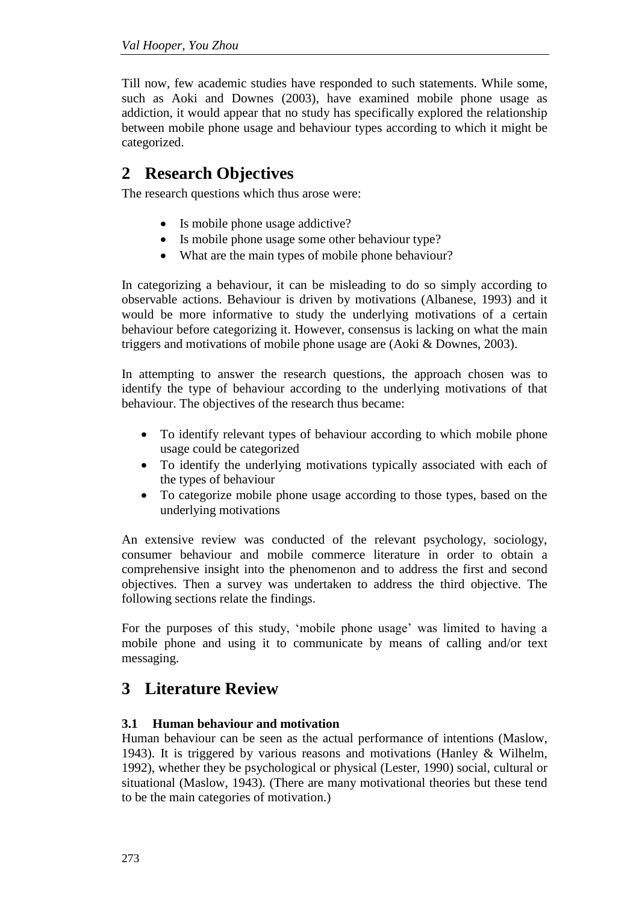Till now, few academic studies have responded to such statements. While some, such as Aoki and Downes (2003), have examined mobile phone usage as addiction, it would appear that no study has specifically explored the relationship between mobile phone usage and behaviour types according to which it might be categorized.

## **2 Research Objectives**

The research questions which thus arose were:

- Is mobile phone usage addictive?
- Is mobile phone usage some other behaviour type?
- What are the main types of mobile phone behaviour?

In categorizing a behaviour, it can be misleading to do so simply according to observable actions. Behaviour is driven by motivations (Albanese, 1993) and it would be more informative to study the underlying motivations of a certain behaviour before categorizing it. However, consensus is lacking on what the main triggers and motivations of mobile phone usage are (Aoki & Downes, 2003).

In attempting to answer the research questions, the approach chosen was to identify the type of behaviour according to the underlying motivations of that behaviour. The objectives of the research thus became:

- To identify relevant types of behaviour according to which mobile phone usage could be categorized
- To identify the underlying motivations typically associated with each of the types of behaviour
- To categorize mobile phone usage according to those types, based on the underlying motivations

An extensive review was conducted of the relevant psychology, sociology, consumer behaviour and mobile commerce literature in order to obtain a comprehensive insight into the phenomenon and to address the first and second objectives. Then a survey was undertaken to address the third objective. The following sections relate the findings.

For the purposes of this study, 'mobile phone usage' was limited to having a mobile phone and using it to communicate by means of calling and/or text messaging.

### **3 Literature Review**

#### **3.1 Human behaviour and motivation**

[Human](http://en.wikipedia.org/wiki/Human) [behaviour](http://en.wikipedia.org/wiki/Behavior) can be seen as the actual performance of intentions (Maslow, 1943). It is triggered by various reasons and motivations (Hanley & Wilhelm, 1992), whether they be psychological or physical (Lester, 1990) social, cultural or situational (Maslow, 1943). (There are many motivational theories but these tend to be the main categories of motivation.)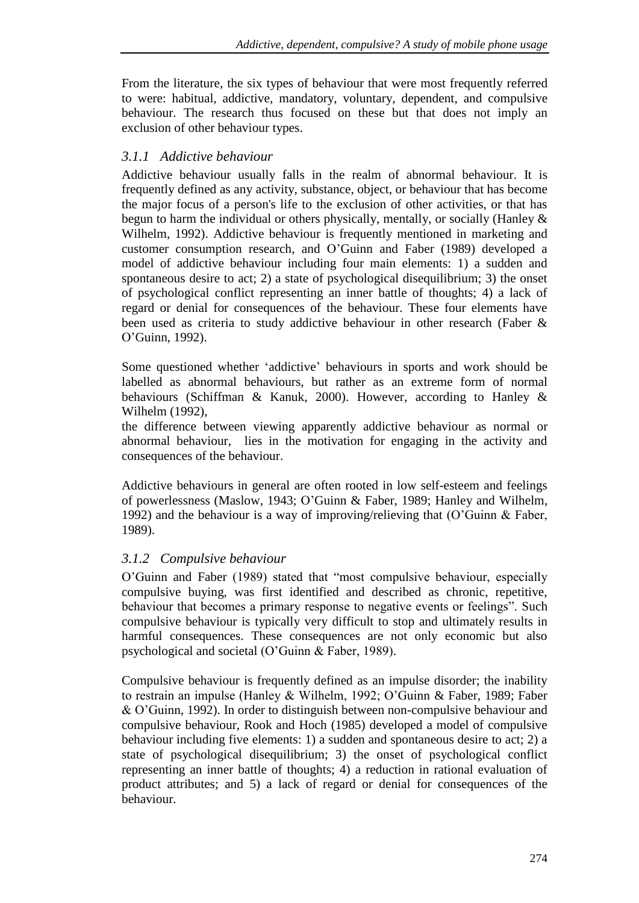From the literature, the six types of behaviour that were most frequently referred to were: habitual, addictive, mandatory, voluntary, dependent, and compulsive behaviour. The research thus focused on these but that does not imply an exclusion of other behaviour types.

#### *3.1.1 Addictive behaviour*

Addictive behaviour usually falls in the realm of abnormal behaviour. It is frequently defined as any activity, substance, object, or behaviour that has become the major focus of a person's life to the exclusion of other activities, or that has begun to harm the individual or others physically, mentally, or socially (Hanley & Wilhelm, 1992). Addictive behaviour is frequently mentioned in marketing and customer consumption research, and O"Guinn and Faber (1989) developed a model of addictive behaviour including four main elements: 1) a sudden and spontaneous desire to act; 2) a state of psychological disequilibrium; 3) the onset of psychological conflict representing an inner battle of thoughts; 4) a lack of regard or denial for consequences of the behaviour. These four elements have been used as criteria to study addictive behaviour in other research (Faber & O"Guinn, 1992).

Some questioned whether 'addictive' behaviours in sports and work should be labelled as abnormal behaviours, but rather as an extreme form of normal behaviours (Schiffman & Kanuk, 2000). However, according to Hanley & Wilhelm (1992),

the difference between viewing apparently addictive behaviour as normal or abnormal behaviour, lies in the motivation for engaging in the activity and consequences of the behaviour.

Addictive behaviours in general are often rooted in low self-esteem and feelings of powerlessness (Maslow, 1943; O"Guinn & Faber, 1989; Hanley and Wilhelm, 1992) and the behaviour is a way of improving/relieving that (O"Guinn & Faber, 1989).

### *3.1.2 Compulsive behaviour*

O"Guinn and Faber (1989) stated that "most compulsive behaviour, especially compulsive buying, was first identified and described as chronic, repetitive, behaviour that becomes a primary response to negative events or feelings". Such compulsive behaviour is typically very difficult to stop and ultimately results in harmful consequences. These consequences are not only economic but also psychological and societal (O"Guinn & Faber, 1989).

Compulsive behaviour is frequently defined as an impulse disorder; the inability to restrain an impulse (Hanley & Wilhelm, 1992; O"Guinn & Faber, 1989; Faber & O"Guinn, 1992). In order to distinguish between non-compulsive behaviour and compulsive behaviour, Rook and Hoch (1985) developed a model of compulsive behaviour including five elements: 1) a sudden and spontaneous desire to act; 2) a state of psychological disequilibrium; 3) the onset of psychological conflict representing an inner battle of thoughts; 4) a reduction in rational evaluation of product attributes; and 5) a lack of regard or denial for consequences of the behaviour.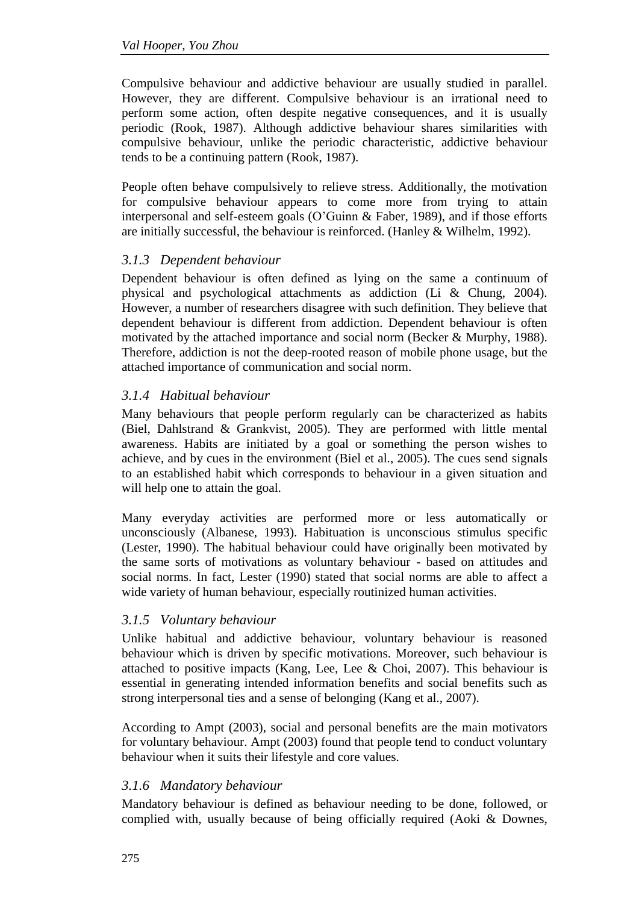Compulsive behaviour and addictive behaviour are usually studied in parallel. However, they are different. Compulsive behaviour is an [irrational](http://en.wiktionary.org/wiki/irrational) need to [perform](http://en.wiktionary.org/wiki/perform) some action, often despite negative consequences, and it is usually periodic (Rook, 1987). Although addictive behaviour shares similarities with compulsive behaviour, unlike the periodic characteristic, addictive behaviour tends to be a continuing pattern (Rook, 1987).

People often behave compulsively to relieve stress. Additionally, the motivation for compulsive behaviour appears to come more from trying to attain interpersonal and self-esteem goals (O"Guinn & Faber, 1989), and if those efforts are initially successful, the behaviour is reinforced. (Hanley & Wilhelm, 1992).

#### *3.1.3 Dependent behaviour*

Dependent behaviour is often defined as lying on the same a continuum of physical and psychological attachments as addiction (Li & Chung, 2004). However, a number of researchers disagree with such definition. They believe that dependent behaviour is different from addiction. Dependent behaviour is often motivated by the attached importance and social norm (Becker & Murphy, 1988). Therefore, addiction is not the deep-rooted reason of mobile phone usage, but the attached importance of communication and social norm.

#### *3.1.4 Habitual behaviour*

Many behaviours that people perform regularly can be characterized as habits (Biel, Dahlstrand & Grankvist, 2005). They are performed with little mental awareness. Habits are initiated by a goal or something the person wishes to achieve, and by cues in the environment (Biel et al., 2005). The cues send signals to an established habit which corresponds to behaviour in a given situation and will help one to attain the goal.

Many everyday activities are performed more or less automatically or unconsciously (Albanese, 1993). Habituation is unconscious stimulus specific (Lester, 1990). The habitual behaviour could have originally been motivated by the same sorts of motivations as voluntary behaviour - based on attitudes and social norms. In fact, Lester (1990) stated that social norms are able to affect a wide variety of human behaviour, especially routinized human activities.

#### *3.1.5 Voluntary behaviour*

Unlike habitual and addictive behaviour, voluntary behaviour is reasoned behaviour which is driven by specific motivations. Moreover, such behaviour is attached to positive impacts (Kang, Lee, Lee & Choi, 2007). This behaviour is essential in generating intended information benefits and social benefits such as strong interpersonal ties and a sense of belonging (Kang et al., 2007).

According to Ampt (2003), social and personal benefits are the main motivators for voluntary behaviour. Ampt (2003) found that people tend to conduct voluntary behaviour when it suits their lifestyle and core values.

#### *3.1.6 Mandatory behaviour*

Mandatory behaviour is defined as behaviour needing to be done, followed, or complied with, usually because of being officially required (Aoki & Downes,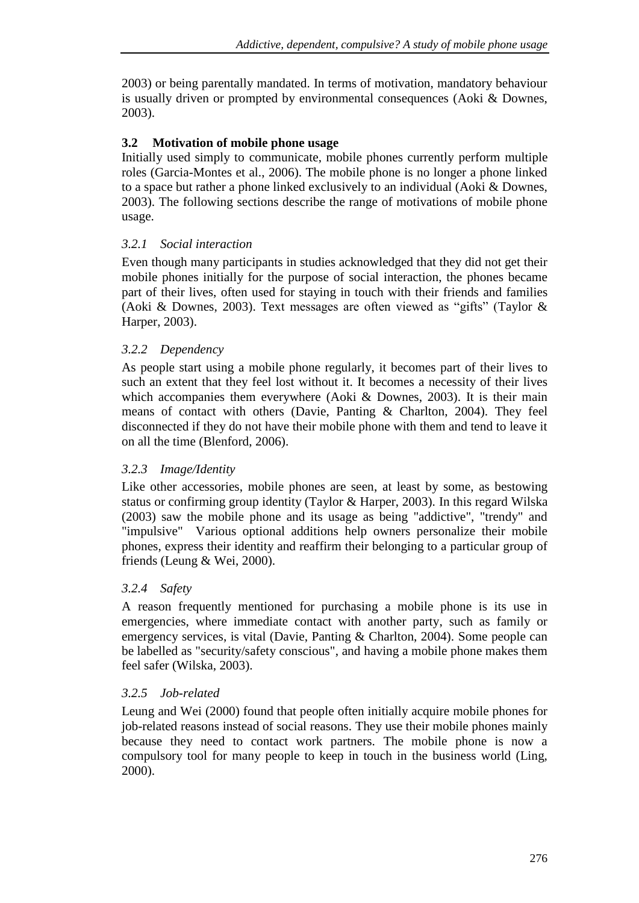2003) or being parentally mandated. In terms of motivation, mandatory behaviour is usually driven or prompted by environmental consequences (Aoki & Downes, 2003).

#### **3.2 Motivation of mobile phone usage**

Initially used simply to communicate, mobile phones currently perform multiple roles (Garcia-Montes et al., 2006). The mobile phone is no longer a phone linked to a space but rather a phone linked exclusively to an individual (Aoki & Downes, 2003). The following sections describe the range of motivations of mobile phone usage.

#### *3.2.1 Social interaction*

Even though many participants in studies acknowledged that they did not get their mobile phones initially for the purpose of social interaction, the phones became part of their lives, often used for staying in touch with their friends and families (Aoki & Downes, 2003). Text messages are often viewed as "gifts" (Taylor & Harper, 2003).

#### *3.2.2 Dependency*

As people start using a mobile phone regularly, it becomes part of their lives to such an extent that they feel lost without it. It becomes a necessity of their lives which accompanies them everywhere (Aoki & Downes, 2003). It is their main means of contact with others (Davie, Panting & Charlton, 2004). They feel disconnected if they do not have their mobile phone with them and tend to leave it on all the time (Blenford, 2006).

#### *3.2.3 Image/Identity*

Like other accessories, mobile phones are seen, at least by some, as bestowing status or confirming group identity (Taylor & Harper, 2003). In this regard Wilska (2003) saw the mobile phone and its usage as being "addictive", "trendy" and "impulsive" Various optional additions help owners personalize their mobile phones, express their identity and reaffirm their belonging to a particular group of friends (Leung & Wei, 2000).

#### *3.2.4 Safety*

A reason frequently mentioned for purchasing a mobile phone is its use in emergencies, where immediate contact with another party, such as family or emergency services, is vital (Davie, Panting & Charlton, 2004). Some people can be labelled as "security/safety conscious", and having a mobile phone makes them feel safer (Wilska, 2003).

#### *3.2.5 Job-related*

Leung and Wei (2000) found that people often initially acquire mobile phones for job-related reasons instead of social reasons. They use their mobile phones mainly because they need to contact work partners. The mobile phone is now a compulsory tool for many people to keep in touch in the business world (Ling, 2000).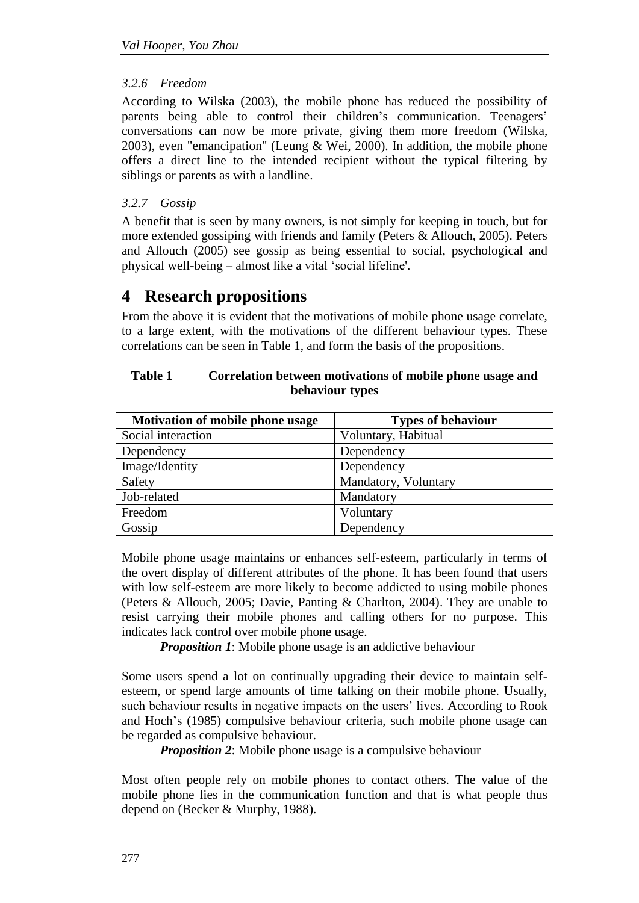#### *3.2.6 Freedom*

According to Wilska (2003), the mobile phone has reduced the possibility of parents being able to control their children's communication. Teenagers' conversations can now be more private, giving them more freedom (Wilska, 2003), even "emancipation" (Leung & Wei, 2000). In addition, the mobile phone offers a direct line to the intended recipient without the typical filtering by siblings or parents as with a landline.

#### *3.2.7 Gossip*

A benefit that is seen by many owners, is not simply for keeping in touch, but for more extended gossiping with friends and family (Peters & Allouch, 2005). Peters and Allouch (2005) see gossip as being essential to social, psychological and physical well-being – almost like a vital "social lifeline'.

### **4 Research propositions**

From the above it is evident that the motivations of mobile phone usage correlate, to a large extent, with the motivations of the different behaviour types. These correlations can be seen in Table 1, and form the basis of the propositions.

| <b>Table 1</b> | Correlation between motivations of mobile phone usage and |  |
|----------------|-----------------------------------------------------------|--|
|                | behaviour types                                           |  |

| Motivation of mobile phone usage | <b>Types of behaviour</b> |
|----------------------------------|---------------------------|
| Social interaction               | Voluntary, Habitual       |
| Dependency                       | Dependency                |
| Image/Identity                   | Dependency                |
| Safety                           | Mandatory, Voluntary      |
| Job-related                      | Mandatory                 |
| Freedom                          | Voluntary                 |
| Gossip                           | Dependency                |

Mobile phone usage maintains or enhances self-esteem, particularly in terms of the overt display of different attributes of the phone. It has been found that users with low self-esteem are more likely to become addicted to using mobile phones (Peters & Allouch, 2005; Davie, Panting & Charlton, 2004). They are unable to resist carrying their mobile phones and calling others for no purpose. This indicates lack control over mobile phone usage.

*Proposition 1*: Mobile phone usage is an addictive behaviour

Some users spend a lot on continually upgrading their device to maintain selfesteem, or spend large amounts of time talking on their mobile phone. Usually, such behaviour results in negative impacts on the users' lives. According to Rook and Hoch"s (1985) compulsive behaviour criteria, such mobile phone usage can be regarded as compulsive behaviour.

*Proposition 2*: Mobile phone usage is a compulsive behaviour

Most often people rely on mobile phones to contact others. The value of the mobile phone lies in the communication function and that is what people thus depend on (Becker & Murphy, 1988).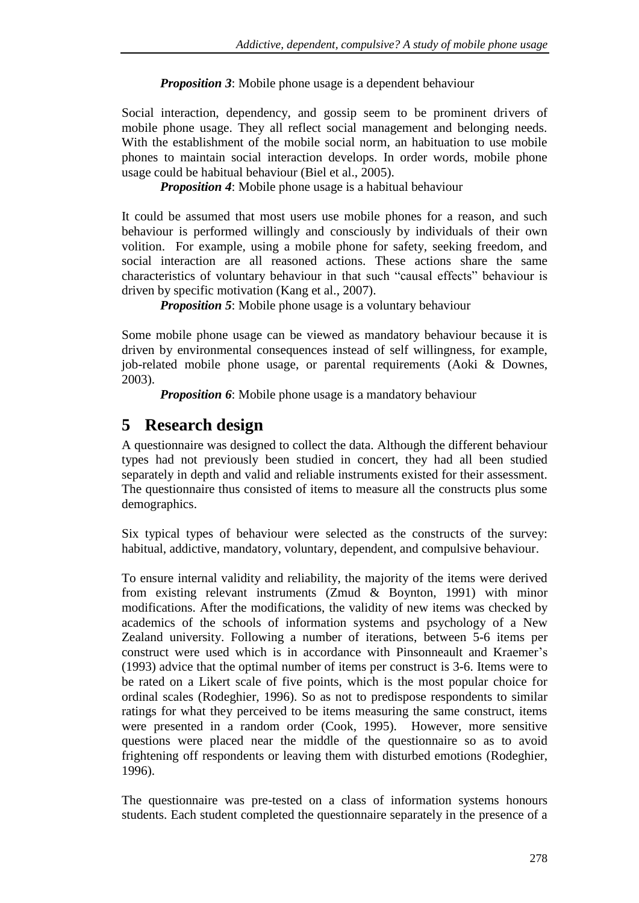*Proposition 3*: Mobile phone usage is a dependent behaviour

Social interaction, dependency, and gossip seem to be prominent drivers of mobile phone usage. They all reflect social management and belonging needs. With the establishment of the mobile social norm, an habituation to use mobile phones to maintain social interaction develops. In order words, mobile phone usage could be habitual behaviour (Biel et al., 2005).

*Proposition 4*: Mobile phone usage is a habitual behaviour

It could be assumed that most users use mobile phones for a reason, and such behaviour is performed willingly and consciously by individuals of their own volition. For example, using a mobile phone for safety, seeking freedom, and social interaction are all reasoned actions. These actions share the same characteristics of voluntary behaviour in that such "causal effects" behaviour is driven by specific motivation (Kang et al., 2007).

*Proposition 5*: Mobile phone usage is a voluntary behaviour

Some mobile phone usage can be viewed as mandatory behaviour because it is driven by environmental consequences instead of self willingness, for example, job-related mobile phone usage, or parental requirements (Aoki & Downes, 2003).

*Proposition* 6: Mobile phone usage is a mandatory behaviour

## **5 Research design**

A questionnaire was designed to collect the data. Although the different behaviour types had not previously been studied in concert, they had all been studied separately in depth and valid and reliable instruments existed for their assessment. The questionnaire thus consisted of items to measure all the constructs plus some demographics.

Six typical types of behaviour were selected as the constructs of the survey: habitual, addictive, mandatory, voluntary, dependent, and compulsive behaviour.

To ensure internal validity and reliability, the majority of the items were derived from existing relevant instruments (Zmud & Boynton, 1991) with minor modifications. After the modifications, the validity of new items was checked by academics of the schools of information systems and psychology of a New Zealand university. Following a number of iterations, between 5-6 items per construct were used which is in accordance with Pinsonneault and Kraemer"s (1993) advice that the optimal number of items per construct is 3-6. Items were to be rated on a Likert scale of five points, which is the most popular choice for ordinal scales (Rodeghier, 1996). So as not to predispose respondents to similar ratings for what they perceived to be items measuring the same construct, items were presented in a random order (Cook, 1995). However, more sensitive questions were placed near the middle of the questionnaire so as to avoid frightening off respondents or leaving them with disturbed emotions (Rodeghier, 1996).

The questionnaire was pre-tested on a class of information systems honours students. Each student completed the questionnaire separately in the presence of a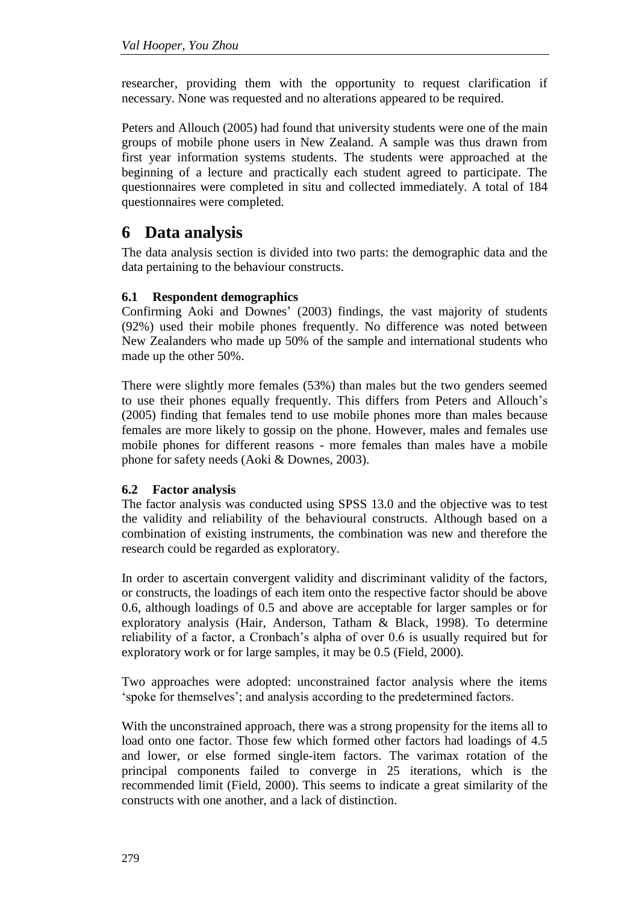researcher, providing them with the opportunity to request clarification if necessary. None was requested and no alterations appeared to be required.

Peters and Allouch (2005) had found that university students were one of the main groups of mobile phone users in New Zealand. A sample was thus drawn from first year information systems students. The students were approached at the beginning of a lecture and practically each student agreed to participate. The questionnaires were completed in situ and collected immediately. A total of 184 questionnaires were completed.

### **6 Data analysis**

The data analysis section is divided into two parts: the demographic data and the data pertaining to the behaviour constructs.

#### **6.1 Respondent demographics**

Confirming Aoki and Downes" (2003) findings, the vast majority of students (92%) used their mobile phones frequently. No difference was noted between New Zealanders who made up 50% of the sample and international students who made up the other 50%.

There were slightly more females (53%) than males but the two genders seemed to use their phones equally frequently. This differs from Peters and Allouch"s (2005) finding that females tend to use mobile phones more than males because females are more likely to gossip on the phone. However, males and females use mobile phones for different reasons - more females than males have a mobile phone for safety needs (Aoki & Downes, 2003).

#### **6.2 Factor analysis**

The factor analysis was conducted using SPSS 13.0 and the objective was to test the validity and reliability of the behavioural constructs. Although based on a combination of existing instruments, the combination was new and therefore the research could be regarded as exploratory.

In order to ascertain convergent validity and discriminant validity of the factors, or constructs, the loadings of each item onto the respective factor should be above 0.6, although loadings of 0.5 and above are acceptable for larger samples or for exploratory analysis (Hair, Anderson, Tatham & Black, 1998). To determine reliability of a factor, a Cronbach"s alpha of over 0.6 is usually required but for exploratory work or for large samples, it may be 0.5 (Field, 2000).

Two approaches were adopted: unconstrained factor analysis where the items 'spoke for themselves'; and analysis according to the predetermined factors.

With the unconstrained approach, there was a strong propensity for the items all to load onto one factor. Those few which formed other factors had loadings of 4.5 and lower, or else formed single-item factors. The varimax rotation of the principal components failed to converge in 25 iterations, which is the recommended limit (Field, 2000). This seems to indicate a great similarity of the constructs with one another, and a lack of distinction.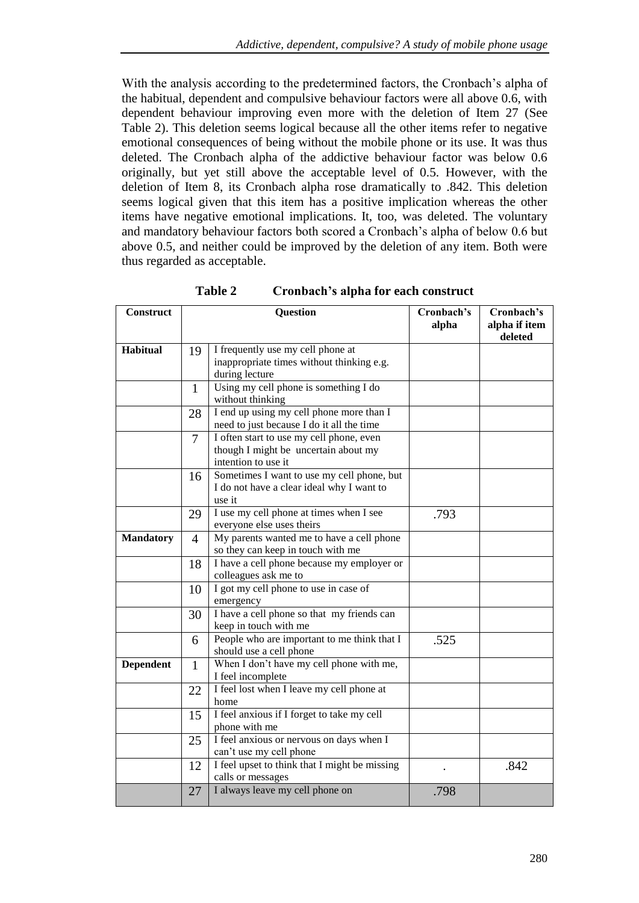With the analysis according to the predetermined factors, the Cronbach's alpha of the habitual, dependent and compulsive behaviour factors were all above 0.6, with dependent behaviour improving even more with the deletion of Item 27 (See Table 2). This deletion seems logical because all the other items refer to negative emotional consequences of being without the mobile phone or its use. It was thus deleted. The Cronbach alpha of the addictive behaviour factor was below 0.6 originally, but yet still above the acceptable level of 0.5. However, with the deletion of Item 8, its Cronbach alpha rose dramatically to .842. This deletion seems logical given that this item has a positive implication whereas the other items have negative emotional implications. It, too, was deleted. The voluntary and mandatory behaviour factors both scored a Cronbach"s alpha of below 0.6 but above 0.5, and neither could be improved by the deletion of any item. Both were thus regarded as acceptable.

| <b>Construct</b> | Question       |                                                                                                         | Cronbach's<br>alpha | Cronbach's<br>alpha if item<br>deleted |
|------------------|----------------|---------------------------------------------------------------------------------------------------------|---------------------|----------------------------------------|
| <b>Habitual</b>  | 19             | I frequently use my cell phone at<br>inappropriate times without thinking e.g.<br>during lecture        |                     |                                        |
|                  | 1              | Using my cell phone is something I do<br>without thinking                                               |                     |                                        |
|                  | 28             | I end up using my cell phone more than I<br>need to just because I do it all the time                   |                     |                                        |
|                  | $\overline{7}$ | I often start to use my cell phone, even<br>though I might be uncertain about my<br>intention to use it |                     |                                        |
|                  | 16             | Sometimes I want to use my cell phone, but<br>I do not have a clear ideal why I want to<br>use it       |                     |                                        |
|                  | 29             | I use my cell phone at times when I see<br>everyone else uses theirs                                    | .793                |                                        |
| <b>Mandatory</b> | $\overline{4}$ | My parents wanted me to have a cell phone<br>so they can keep in touch with me                          |                     |                                        |
|                  | 18             | I have a cell phone because my employer or<br>colleagues ask me to                                      |                     |                                        |
|                  | 10             | I got my cell phone to use in case of<br>emergency                                                      |                     |                                        |
|                  | 30             | I have a cell phone so that my friends can<br>keep in touch with me                                     |                     |                                        |
|                  | 6              | People who are important to me think that I<br>should use a cell phone                                  | .525                |                                        |
| <b>Dependent</b> | $\mathbf{1}$   | When I don't have my cell phone with me,<br>I feel incomplete                                           |                     |                                        |
|                  | 22             | I feel lost when I leave my cell phone at<br>home                                                       |                     |                                        |
|                  | 15             | I feel anxious if I forget to take my cell<br>phone with me                                             |                     |                                        |
|                  | 25             | I feel anxious or nervous on days when I<br>can't use my cell phone                                     |                     |                                        |
|                  | 12             | I feel upset to think that I might be missing<br>calls or messages                                      |                     | .842                                   |
|                  | 27             | I always leave my cell phone on                                                                         | .798                |                                        |

**Table 2 Cronbach's alpha for each construct**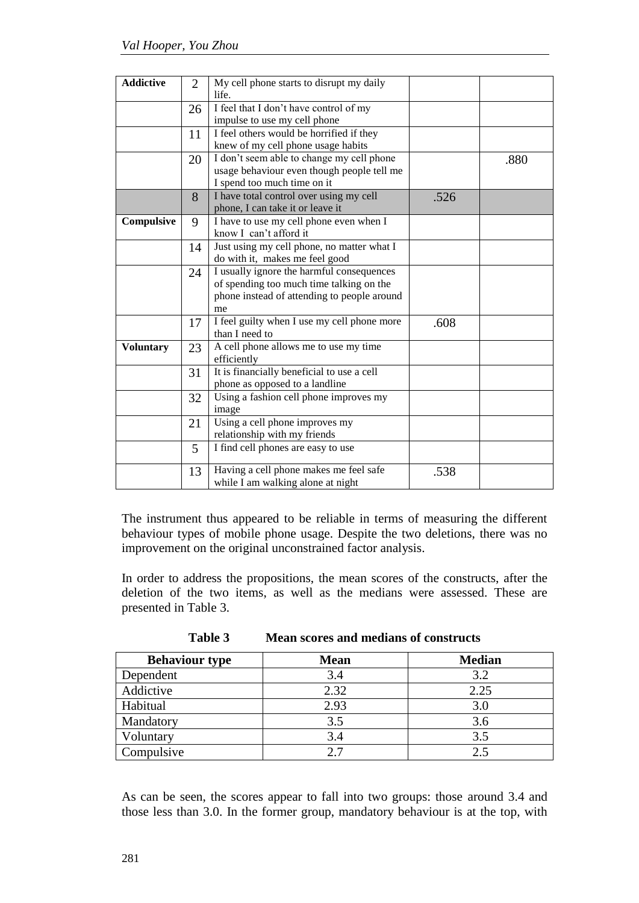| <b>Addictive</b> | $\overline{2}$ | My cell phone starts to disrupt my daily<br>life.                                                                                          |      |      |
|------------------|----------------|--------------------------------------------------------------------------------------------------------------------------------------------|------|------|
|                  | 26             | I feel that I don't have control of my<br>impulse to use my cell phone                                                                     |      |      |
|                  | 11             | I feel others would be horrified if they<br>knew of my cell phone usage habits                                                             |      |      |
|                  | 20             | I don't seem able to change my cell phone<br>usage behaviour even though people tell me<br>I spend too much time on it                     |      | .880 |
|                  | 8              | I have total control over using my cell<br>phone, I can take it or leave it                                                                | .526 |      |
| Compulsive       | 9              | I have to use my cell phone even when I<br>know I can't afford it                                                                          |      |      |
|                  | 14             | Just using my cell phone, no matter what I<br>do with it, makes me feel good                                                               |      |      |
|                  | 24             | I usually ignore the harmful consequences<br>of spending too much time talking on the<br>phone instead of attending to people around<br>me |      |      |
|                  | 17             | I feel guilty when I use my cell phone more<br>than I need to                                                                              | .608 |      |
| <b>Voluntary</b> | 23             | A cell phone allows me to use my time<br>efficiently                                                                                       |      |      |
|                  | 31             | It is financially beneficial to use a cell<br>phone as opposed to a landline                                                               |      |      |
|                  | 32             | Using a fashion cell phone improves my<br>image                                                                                            |      |      |
|                  | 21             | Using a cell phone improves my<br>relationship with my friends                                                                             |      |      |
|                  | 5              | I find cell phones are easy to use                                                                                                         |      |      |
|                  | 13             | Having a cell phone makes me feel safe<br>while I am walking alone at night                                                                | .538 |      |

The instrument thus appeared to be reliable in terms of measuring the different behaviour types of mobile phone usage. Despite the two deletions, there was no improvement on the original unconstrained factor analysis.

In order to address the propositions, the mean scores of the constructs, after the deletion of the two items, as well as the medians were assessed. These are presented in Table 3.

| <b>Behaviour type</b> | <b>Mean</b> | <b>Median</b> |
|-----------------------|-------------|---------------|
| Dependent             | 3.4         | 3.2           |
| Addictive             | 2.32        | 2.25          |
| Habitual              | 2.93        | 3.0           |
| Mandatory             | 3.5         | 3.6           |
| Voluntary             | 3.4         | 3.5           |
| Compulsive            | 2.7         | 2.5           |

**Table 3 Mean scores and medians of constructs**

As can be seen, the scores appear to fall into two groups: those around 3.4 and those less than 3.0. In the former group, mandatory behaviour is at the top, with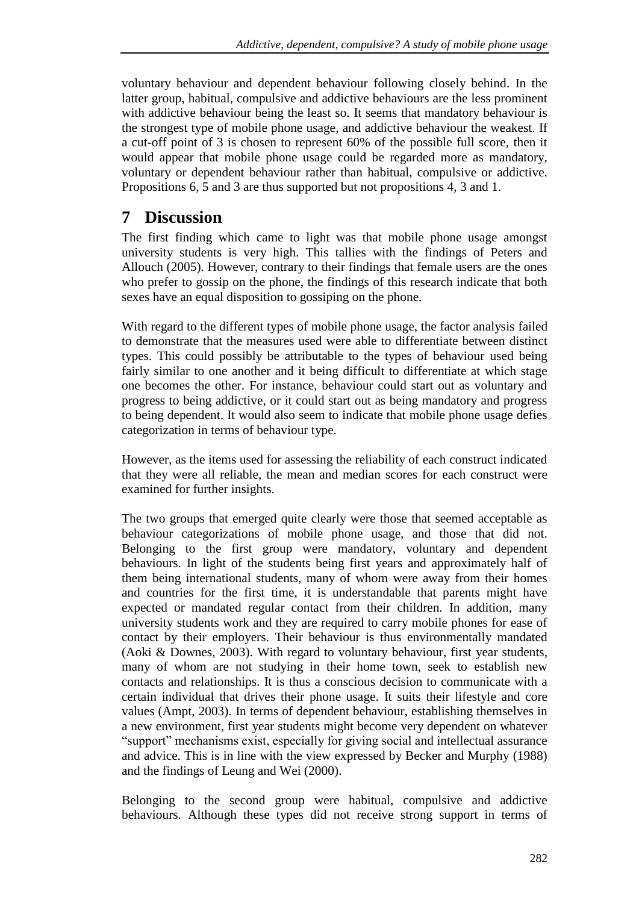voluntary behaviour and dependent behaviour following closely behind. In the latter group, habitual, compulsive and addictive behaviours are the less prominent with addictive behaviour being the least so. It seems that mandatory behaviour is the strongest type of mobile phone usage, and addictive behaviour the weakest. If a cut-off point of 3 is chosen to represent 60% of the possible full score, then it would appear that mobile phone usage could be regarded more as mandatory, voluntary or dependent behaviour rather than habitual, compulsive or addictive. Propositions 6, 5 and 3 are thus supported but not propositions 4, 3 and 1.

### **7 Discussion**

The first finding which came to light was that mobile phone usage amongst university students is very high. This tallies with the findings of Peters and Allouch (2005). However, contrary to their findings that female users are the ones who prefer to gossip on the phone, the findings of this research indicate that both sexes have an equal disposition to gossiping on the phone.

With regard to the different types of mobile phone usage, the factor analysis failed to demonstrate that the measures used were able to differentiate between distinct types. This could possibly be attributable to the types of behaviour used being fairly similar to one another and it being difficult to differentiate at which stage one becomes the other. For instance, behaviour could start out as voluntary and progress to being addictive, or it could start out as being mandatory and progress to being dependent. It would also seem to indicate that mobile phone usage defies categorization in terms of behaviour type.

However, as the items used for assessing the reliability of each construct indicated that they were all reliable, the mean and median scores for each construct were examined for further insights.

The two groups that emerged quite clearly were those that seemed acceptable as behaviour categorizations of mobile phone usage, and those that did not. Belonging to the first group were mandatory, voluntary and dependent behaviours. In light of the students being first years and approximately half of them being international students, many of whom were away from their homes and countries for the first time, it is understandable that parents might have expected or mandated regular contact from their children. In addition, many university students work and they are required to carry mobile phones for ease of contact by their employers. Their behaviour is thus environmentally mandated (Aoki & Downes, 2003). With regard to voluntary behaviour, first year students, many of whom are not studying in their home town, seek to establish new contacts and relationships. It is thus a conscious decision to communicate with a certain individual that drives their phone usage. It suits their lifestyle and core values (Ampt, 2003). In terms of dependent behaviour, establishing themselves in a new environment, first year students might become very dependent on whatever "support" mechanisms exist, especially for giving social and intellectual assurance and advice. This is in line with the view expressed by Becker and Murphy (1988) and the findings of Leung and Wei (2000).

Belonging to the second group were habitual, compulsive and addictive behaviours. Although these types did not receive strong support in terms of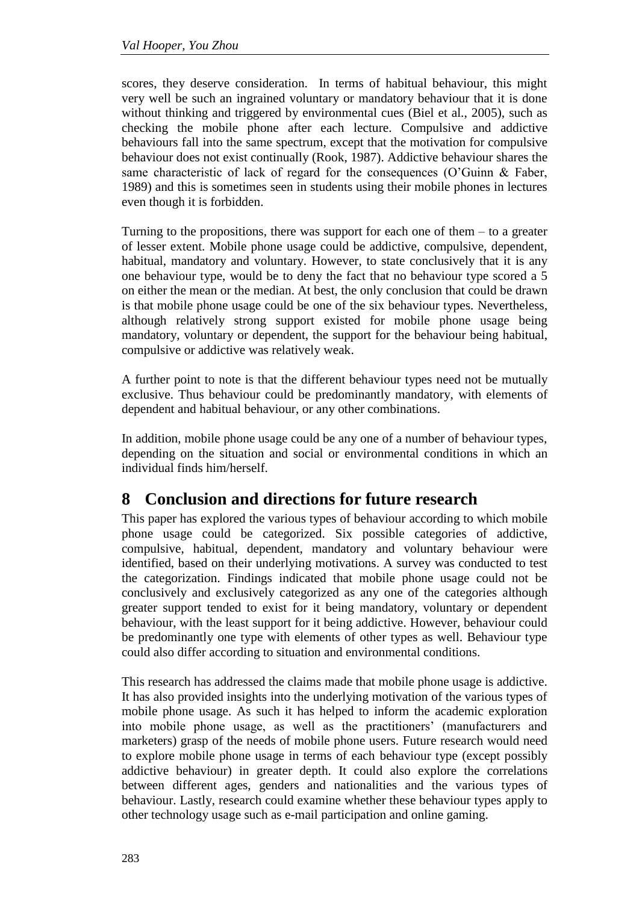scores, they deserve consideration. In terms of habitual behaviour, this might very well be such an ingrained voluntary or mandatory behaviour that it is done without thinking and triggered by environmental cues (Biel et al., 2005), such as checking the mobile phone after each lecture. Compulsive and addictive behaviours fall into the same spectrum, except that the motivation for compulsive behaviour does not exist continually (Rook, 1987). Addictive behaviour shares the same characteristic of lack of regard for the consequences (O'Guinn & Faber, 1989) and this is sometimes seen in students using their mobile phones in lectures even though it is forbidden.

Turning to the propositions, there was support for each one of them  $-$  to a greater of lesser extent. Mobile phone usage could be addictive, compulsive, dependent, habitual, mandatory and voluntary. However, to state conclusively that it is any one behaviour type, would be to deny the fact that no behaviour type scored a 5 on either the mean or the median. At best, the only conclusion that could be drawn is that mobile phone usage could be one of the six behaviour types. Nevertheless, although relatively strong support existed for mobile phone usage being mandatory, voluntary or dependent, the support for the behaviour being habitual, compulsive or addictive was relatively weak.

A further point to note is that the different behaviour types need not be mutually exclusive. Thus behaviour could be predominantly mandatory, with elements of dependent and habitual behaviour, or any other combinations.

In addition, mobile phone usage could be any one of a number of behaviour types, depending on the situation and social or environmental conditions in which an individual finds him/herself.

### **8 Conclusion and directions for future research**

This paper has explored the various types of behaviour according to which mobile phone usage could be categorized. Six possible categories of addictive, compulsive, habitual, dependent, mandatory and voluntary behaviour were identified, based on their underlying motivations. A survey was conducted to test the categorization. Findings indicated that mobile phone usage could not be conclusively and exclusively categorized as any one of the categories although greater support tended to exist for it being mandatory, voluntary or dependent behaviour, with the least support for it being addictive. However, behaviour could be predominantly one type with elements of other types as well. Behaviour type could also differ according to situation and environmental conditions.

This research has addressed the claims made that mobile phone usage is addictive. It has also provided insights into the underlying motivation of the various types of mobile phone usage. As such it has helped to inform the academic exploration into mobile phone usage, as well as the practitioners" (manufacturers and marketers) grasp of the needs of mobile phone users. Future research would need to explore mobile phone usage in terms of each behaviour type (except possibly addictive behaviour) in greater depth. It could also explore the correlations between different ages, genders and nationalities and the various types of behaviour. Lastly, research could examine whether these behaviour types apply to other technology usage such as e-mail participation and online gaming.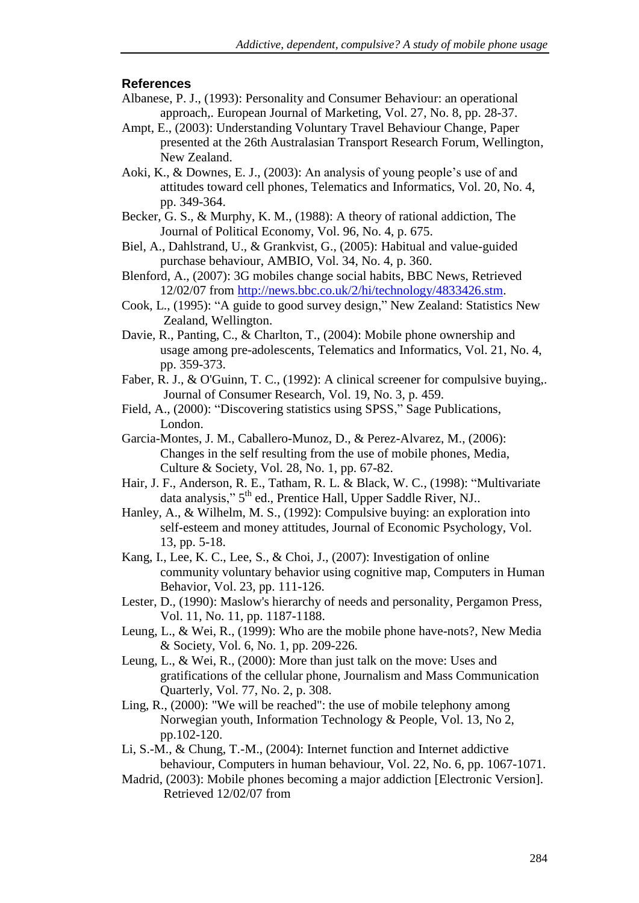#### **References**

- Albanese, P. J., (1993): Personality and Consumer Behaviour: an operational approach,. European Journal of Marketing, Vol. 27, No. 8, pp. 28-37.
- Ampt, E., (2003): Understanding Voluntary Travel Behaviour Change, Paper presented at the 26th Australasian Transport Research Forum, Wellington, New Zealand.
- Aoki, K., & Downes, E. J., (2003): An analysis of young people"s use of and attitudes toward cell phones, Telematics and Informatics, Vol. 20, No. 4, pp. 349-364.
- Becker, G. S., & Murphy, K. M., (1988): A theory of rational addiction, The Journal of Political Economy, Vol. 96, No. 4, p. 675.
- Biel, A., Dahlstrand, U., & Grankvist, G., (2005): Habitual and value-guided purchase behaviour, AMBIO, Vol. 34, No. 4, p. 360.
- Blenford, A., (2007): 3G mobiles change social habits, BBC News, Retrieved 12/02/07 from [http://news.bbc.co.uk/2/hi/technology/4833426.stm.](http://news.bbc.co.uk/2/hi/technology/4833426.stm)
- Cook, L., (1995): "A guide to good survey design," New Zealand: Statistics New Zealand, Wellington.
- Davie, R., Panting, C., & Charlton, T., (2004): Mobile phone ownership and usage among pre-adolescents, Telematics and Informatics, Vol. 21, No. 4, pp. 359-373.
- Faber, R. J., & O'Guinn, T. C., (1992): A clinical screener for compulsive buying,. Journal of Consumer Research, Vol. 19, No. 3, p. 459.
- Field, A., (2000): "Discovering statistics using SPSS," Sage Publications, London.
- Garcia-Montes, J. M., Caballero-Munoz, D., & Perez-Alvarez, M., (2006): Changes in the self resulting from the use of mobile phones, Media, Culture & Society, Vol. 28, No. 1, pp. 67-82.
- Hair, J. F., Anderson, R. E., Tatham, R. L. & Black, W. C., (1998): "Multivariate data analysis," 5<sup>th</sup> ed., Prentice Hall, Upper Saddle River, NJ..
- Hanley, A., & Wilhelm, M. S., (1992): Compulsive buying: an exploration into self-esteem and money attitudes, Journal of Economic Psychology, Vol. 13, pp. 5-18.
- Kang, I., Lee, K. C., Lee, S., & Choi, J., (2007): Investigation of online community voluntary behavior using cognitive map, Computers in Human Behavior, Vol. 23, pp. 111-126.
- Lester, D., (1990): Maslow's hierarchy of needs and personality, Pergamon Press, Vol. 11, No. 11, pp. 1187-1188.
- Leung, L., & Wei, R., (1999): Who are the mobile phone have-nots?, New Media & Society*,* Vol. 6, No. 1, pp. 209-226.
- Leung, L., & Wei, R., (2000): More than just talk on the move: Uses and gratifications of the cellular phone, Journalism and Mass Communication Quarterly, Vol. 77, No. 2, p. 308.
- Ling, R., (2000): "We will be reached": the use of mobile telephony among Norwegian youth, Information Technology & People, Vol. 13, No 2, pp.102-120.
- Li, S.-M., & Chung, T.-M., (2004): Internet function and Internet addictive behaviour, Computers in human behaviour, Vol. 22, No. 6, pp. 1067-1071.
- Madrid, (2003): Mobile phones becoming a major addiction [Electronic Version]. Retrieved 12/02/07 from